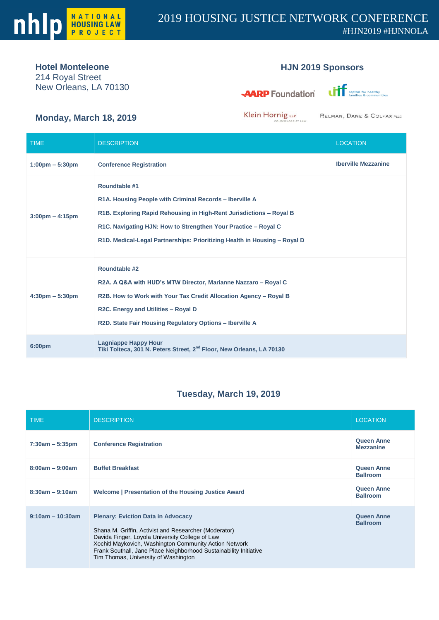

## **Hotel Monteleone**

214 Royal Street New Orleans, LA 70130

## **HJN 2019 Sponsors**

**AARP** Foundation



**Monday, March 18, 2019**

Klein Hornig LLP

RELMAN, DANE & COLFAX PLLC

| <b>TIME</b>                       | <b>DESCRIPTION</b>                                                                                                                                                                                                                                                                             | <b>LOCATION</b>            |
|-----------------------------------|------------------------------------------------------------------------------------------------------------------------------------------------------------------------------------------------------------------------------------------------------------------------------------------------|----------------------------|
| $1:00 \text{pm} - 5:30 \text{pm}$ | <b>Conference Registration</b>                                                                                                                                                                                                                                                                 | <b>Iberville Mezzanine</b> |
| $3:00 \text{pm} - 4:15 \text{pm}$ | Roundtable #1<br>R1A. Housing People with Criminal Records - Iberville A<br>R1B. Exploring Rapid Rehousing in High-Rent Jurisdictions - Royal B<br>R1C. Navigating HJN: How to Strengthen Your Practice – Royal C<br>R1D. Medical-Legal Partnerships: Prioritizing Health in Housing - Royal D |                            |
| $4:30 \text{pm} - 5:30 \text{pm}$ | <b>Roundtable #2</b><br>R2A. A Q&A with HUD's MTW Director, Marianne Nazzaro - Royal C<br>R2B. How to Work with Your Tax Credit Allocation Agency - Royal B<br>R2C. Energy and Utilities - Royal D<br>R2D. State Fair Housing Regulatory Options - Iberville A                                 |                            |
| 6:00pm                            | <b>Lagniappe Happy Hour</b><br>Tiki Tolteca, 301 N. Peters Street, 2 <sup>nd</sup> Floor, New Orleans, LA 70130                                                                                                                                                                                |                            |

## **Tuesday, March 19, 2019**

| <b>TIME</b>         | <b>DESCRIPTION</b>                                                                                                                                                                                                                                                                                                           | <b>LOCATION</b>                       |
|---------------------|------------------------------------------------------------------------------------------------------------------------------------------------------------------------------------------------------------------------------------------------------------------------------------------------------------------------------|---------------------------------------|
| $7:30am - 5:35pm$   | <b>Conference Registration</b>                                                                                                                                                                                                                                                                                               | <b>Queen Anne</b><br><b>Mezzanine</b> |
| $8:00am - 9:00am$   | <b>Buffet Breakfast</b>                                                                                                                                                                                                                                                                                                      | <b>Queen Anne</b><br><b>Ballroom</b>  |
| $8:30am - 9:10am$   | Welcome   Presentation of the Housing Justice Award                                                                                                                                                                                                                                                                          | <b>Queen Anne</b><br><b>Ballroom</b>  |
| $9:10$ am – 10:30am | <b>Plenary: Eviction Data in Advocacy</b><br>Shana M. Griffin, Activist and Researcher (Moderator)<br>Davida Finger, Loyola University College of Law<br>Xochitl Maykovich, Washington Community Action Network<br>Frank Southall, Jane Place Neighborhood Sustainability Initiative<br>Tim Thomas, University of Washington | <b>Queen Anne</b><br><b>Ballroom</b>  |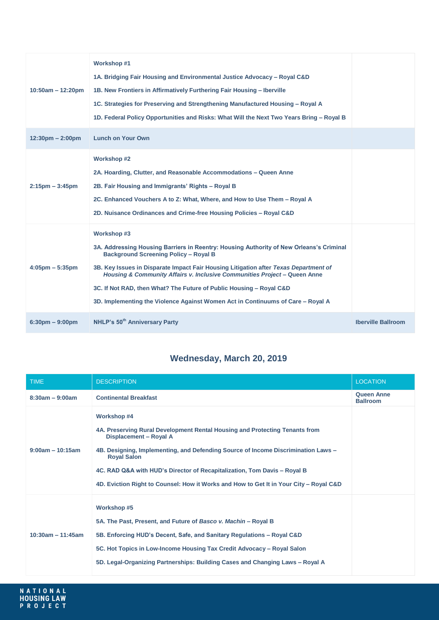| $10:50am - 12:20pm$                | <b>Workshop #1</b><br>1A. Bridging Fair Housing and Environmental Justice Advocacy – Royal C&D<br>1B. New Frontiers in Affirmatively Furthering Fair Housing – Iberville<br>1C. Strategies for Preserving and Strengthening Manufactured Housing – Royal A<br>1D. Federal Policy Opportunities and Risks: What Will the Next Two Years Bring - Royal B                                                                                                                                |                           |
|------------------------------------|---------------------------------------------------------------------------------------------------------------------------------------------------------------------------------------------------------------------------------------------------------------------------------------------------------------------------------------------------------------------------------------------------------------------------------------------------------------------------------------|---------------------------|
| $12:30 \text{pm} - 2:00 \text{pm}$ | <b>Lunch on Your Own</b>                                                                                                                                                                                                                                                                                                                                                                                                                                                              |                           |
| $2:15$ pm $-3:45$ pm               | <b>Workshop #2</b><br>2A. Hoarding, Clutter, and Reasonable Accommodations – Queen Anne<br>2B. Fair Housing and Immigrants' Rights - Royal B<br>2C. Enhanced Vouchers A to Z: What, Where, and How to Use Them - Royal A<br>2D. Nuisance Ordinances and Crime-free Housing Policies – Royal C&D                                                                                                                                                                                       |                           |
| $4:05 \text{pm} - 5:35 \text{pm}$  | Workshop #3<br>3A. Addressing Housing Barriers in Reentry: Housing Authority of New Orleans's Criminal<br><b>Background Screening Policy - Royal B</b><br>3B. Key Issues in Disparate Impact Fair Housing Litigation after Texas Department of<br>Housing & Community Affairs v. Inclusive Communities Project – Queen Anne<br>3C. If Not RAD, then What? The Future of Public Housing - Royal C&D<br>3D. Implementing the Violence Against Women Act in Continuums of Care – Royal A |                           |
| $6:30 \text{pm} - 9:00 \text{pm}$  | NHLP's 50 <sup>th</sup> Anniversary Party                                                                                                                                                                                                                                                                                                                                                                                                                                             | <b>Iberville Ballroom</b> |

## **Wednesday, March 20, 2019**

| <b>TIME</b>         | <b>DESCRIPTION</b>                                                                                                                                                                                                                                                                                                                                                                                           | <b>LOCATION</b>                      |
|---------------------|--------------------------------------------------------------------------------------------------------------------------------------------------------------------------------------------------------------------------------------------------------------------------------------------------------------------------------------------------------------------------------------------------------------|--------------------------------------|
| $8:30am - 9:00am$   | <b>Continental Breakfast</b>                                                                                                                                                                                                                                                                                                                                                                                 | <b>Queen Anne</b><br><b>Ballroom</b> |
| $9:00am - 10:15am$  | <b>Workshop #4</b><br>4A. Preserving Rural Development Rental Housing and Protecting Tenants from<br>Displacement - Royal A<br>4B. Designing, Implementing, and Defending Source of Income Discrimination Laws -<br><b>Royal Salon</b><br>4C. RAD Q&A with HUD's Director of Recapitalization, Tom Davis – Royal B<br>4D. Eviction Right to Counsel: How it Works and How to Get It in Your City – Royal C&D |                                      |
| $10:30am - 11:45am$ | Workshop #5<br>5A. The Past, Present, and Future of Basco v. Machin - Royal B<br>5B. Enforcing HUD's Decent, Safe, and Sanitary Regulations - Royal C&D<br>5C. Hot Topics in Low-Income Housing Tax Credit Advocacy – Royal Salon<br>5D. Legal-Organizing Partnerships: Building Cases and Changing Laws – Royal A                                                                                           |                                      |